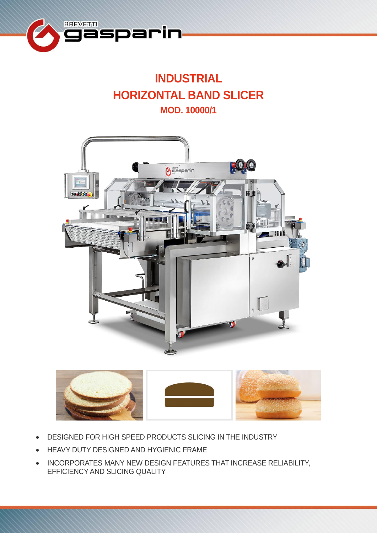

# **INDUSTRIAL HORIZONTAL BAND SLICER MOD. 10000/1**





- DESIGNED FOR HIGH SPEED PRODUCTS SLICING IN THE INDUSTRY
- HEAVY DUTY DESIGNED AND HYGIENIC FRAME
- INCORPORATES MANY NEW DESIGN FEATURES THAT INCREASE RELIABILITY, EFFICIENCY AND SLICING QUALITY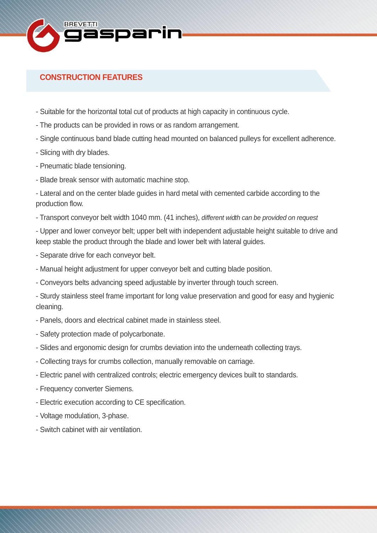

## **CONSTRUCTION FEATURES**

- Suitable for the horizontal total cut of products at high capacity in continuous cycle.
- The products can be provided in rows or as random arrangement.
- Single continuous band blade cutting head mounted on balanced pulleys for excellent adherence.
- Slicing with dry blades.
- Pneumatic blade tensioning.
- Blade break sensor with automatic machine stop.
- Lateral and on the center blade guides in hard metal with cemented carbide according to the production flow.
- Transport conveyor belt width 1040 mm. (41 inches), *different width can be provided on request*

- Upper and lower conveyor belt; upper belt with independent adjustable height suitable to drive and keep stable the product through the blade and lower belt with lateral guides.

- Separate drive for each conveyor belt.
- Manual height adjustment for upper conveyor belt and cutting blade position.
- Conveyors belts advancing speed adjustable by inverter through touch screen.
- Sturdy stainless steel frame important for long value preservation and good for easy and hygienic cleaning.
- Panels, doors and electrical cabinet made in stainless steel.
- Safety protection made of polycarbonate.
- Slides and ergonomic design for crumbs deviation into the underneath collecting trays.
- Collecting trays for crumbs collection, manually removable on carriage.
- Electric panel with centralized controls; electric emergency devices built to standards.
- Frequency converter Siemens.
- Electric execution according to CE specification.
- Voltage modulation, 3-phase.
- Switch cabinet with air ventilation.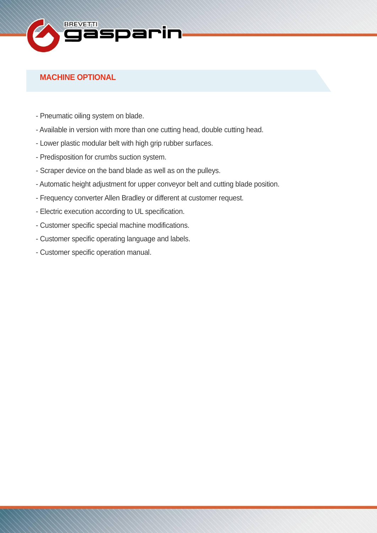

## **MACHINE OPTIONAL**

- Pneumatic oiling system on blade.
- Available in version with more than one cutting head, double cutting head.
- Lower plastic modular belt with high grip rubber surfaces.
- Predisposition for crumbs suction system.
- Scraper device on the band blade as well as on the pulleys.
- Automatic height adjustment for upper conveyor belt and cutting blade position.
- Frequency converter Allen Bradley or different at customer request.
- Electric execution according to UL specification.
- Customer specific special machine modifications.
- Customer specific operating language and labels.
- Customer specific operation manual.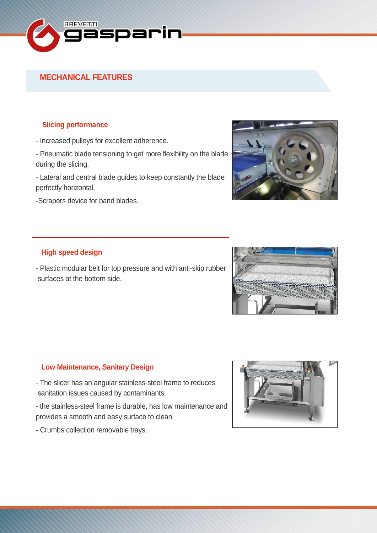

### **MECHANICAL FEATURES**

#### **Slicing performance**

- Increased pulleys for excellent adherence.
- Pneumatic blade tensioning to get more flexibility on the blade during the slicing.
- Lateral and central blade guides to keep constantly the blade perfectly horizontal.
- -Scrapers device for band blades.



#### **High speed design**

- Plastic modular belt for top pressure and with anti-skip rubber surfaces at the bottom side.



#### **Low Maintenance, Sanitary Design**

- The slicer has an angular stainless-steel frame to reduces sanitation issues caused by contaminants.
- the stainless-steel frame is durable, has low maintenance and provides a smooth and easy surface to clean.
- Crumbs collection removable trays.

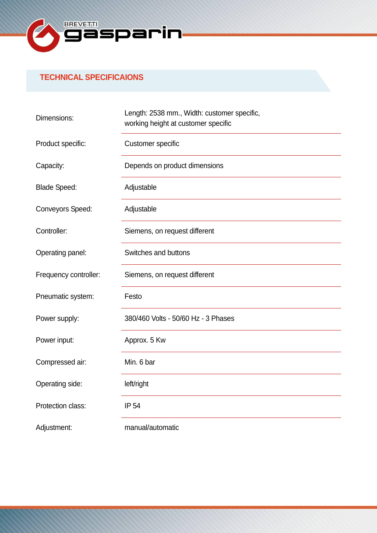

## **TECHNICAL SPECIFICAIONS**

| Dimensions:             | Length: 2538 mm., Width: customer specific, |
|-------------------------|---------------------------------------------|
|                         | working height at customer specific         |
| Product specific:       | <b>Customer specific</b>                    |
| Capacity:               | Depends on product dimensions               |
| <b>Blade Speed:</b>     | Adjustable                                  |
| <b>Conveyors Speed:</b> | Adjustable                                  |
| Controller:             | Siemens, on request different               |
| Operating panel:        | Switches and buttons                        |
| Frequency controller:   | Siemens, on request different               |
| Pneumatic system:       | Festo                                       |
| Power supply:           | 380/460 Volts - 50/60 Hz - 3 Phases         |
| Power input:            | Approx. 5 Kw                                |
| Compressed air:         | Min. 6 bar                                  |
| Operating side:         | left/right                                  |
| Protection class:       | IP 54                                       |
| Adjustment:             | manual/automatic                            |